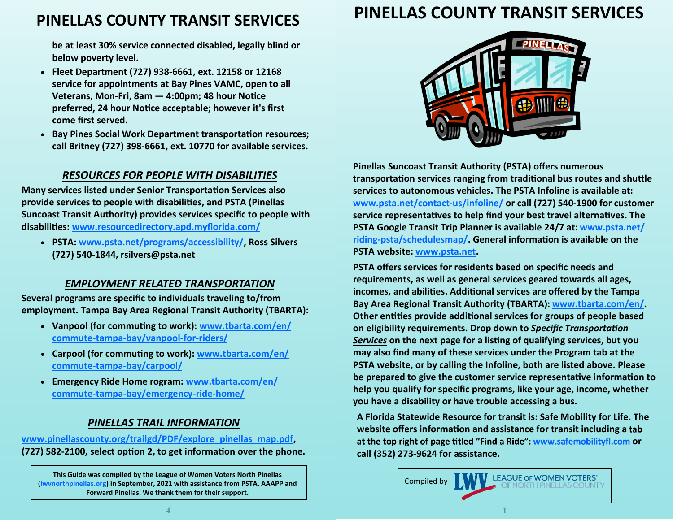# **PINELLAS COUNTY TRANSIT SERVICES**

**be at least 30% service connected disabled, legally blind or below poverty level.**

- **Fleet Department (727) 938-6661, ext. 12158 or 12168 service for appointments at Bay Pines VAMC, open to all Veterans, Mon-Fri, 8am — 4:00pm; 48 hour Notice preferred, 24 hour Notice acceptable; however it's first come first served.**
- **Bay Pines Social Work Department transportation resources; call Britney (727) 398-6661, ext. 10770 for available services.**

### *RESOURCES FOR PEOPLE WITH DISABILITIES*

**Many services listed under Senior Transportation Services also provide services to people with disabilities, and PSTA (Pinellas Suncoast Transit Authority) provides services specific to people with disabilities: [www.resourcedirectory.apd.myflorida.com/](https://resourcedirectory.apd.myflorida.com/)**

• **PSTA: [www.psta.net/programs/accessibility/,](https://www.psta.net/programs/accessibility/) Ross Silvers (727) 540-1844, rsilvers@psta.net**

### *EMPLOYMENT RELATED TRANSPORTATION*

**Several programs are specific to individuals traveling to/from employment. Tampa Bay Area Regional Transit Authority (TBARTA):**

- **Vanpool (for commuting to work): [www.tbarta.com/en/](https://www.tbarta.com/en/commute-tampa-bay/vanpool-for-riders/) commute-tampa-[bay/vanpool](https://www.tbarta.com/en/commute-tampa-bay/vanpool-for-riders/)-for-riders/**
- **Carpool (for commuting to work): [www.tbarta.com/en/](https://www.tbarta.com/en/commute-tampa-bay/carpool/) commute-tampa-[bay/carpool/](https://www.tbarta.com/en/commute-tampa-bay/carpool/)**
- **Emergency Ride Home rogram: [www.tbarta.com/en/](https://www.tbarta.com/en/commute-tampa-bay/emergency-ride-home/) commute-tampa-[bay/emergency](https://www.tbarta.com/en/commute-tampa-bay/emergency-ride-home/)-ride-home/**

## *PINELLAS TRAIL INFORMATION*

**[www.pinellascounty.org/trailgd/PDF/explore\\_pinellas\\_map.pdf,](https://www.pinellascounty.org/trailgd/PDF/explore_pinellas_map.pdf) (727) 582-2100, select option 2, to get information over the phone.** 

**This Guide was compiled by the League of Women Voters North Pinellas ([lwvnorthpinellas.org\)](https://my.lwv.org/florida/north-pinellas-county) in September, 2021 with assistance from PSTA, AAAPP and Forward Pinellas. We thank them for their support.**

# **PINELLAS COUNTY TRANSIT SERVICES**



**Pinellas Suncoast Transit Authority (PSTA) offers numerous transportation services ranging from traditional bus routes and shuttle services to autonomous vehicles. The PSTA Infoline is available at: [www.psta.net/contact](https://www.psta.net/contact-us/infoline/)-us/infoline/ or call (727) 540-1900 for customer service representatives to help find your best travel alternatives. The PSTA Google Transit Trip Planner is available 24/7 at: [www.psta.net/](https://www.psta.net/riding-psta/schedulesmap/) riding-[psta/schedulesmap/.](https://www.psta.net/riding-psta/schedulesmap/) General information is available on the PSTA website: [www.psta.net.](https://www.psta.net)**

**PSTA offers services for residents based on specific needs and requirements, as well as general services geared towards all ages, incomes, and abilities. Additional services are offered by the Tampa Bay Area Regional Transit Authority (TBARTA): [www.tbarta.com/en/.](https://www.tbarta.com/en/) Other entities provide additional services for groups of people based on eligibility requirements. Drop down to** *Specific Transportation Services* **on the next page for a listing of qualifying services, but you may also find many of these services under the Program tab at the PSTA website, or by calling the Infoline, both are listed above. Please be prepared to give the customer service representative information to help you qualify for specific programs, like your age, income, whether you have a disability or have trouble accessing a bus.**

**A Florida Statewide Resource for transit is: Safe Mobility for Life. The website offers information and assistanc[e for transit including a](http://safemobilityfl.com)**  at the top right of page titled "Find a Ride": www.safemobilityfl.com or **call (352) 273-9624 for assistance.**